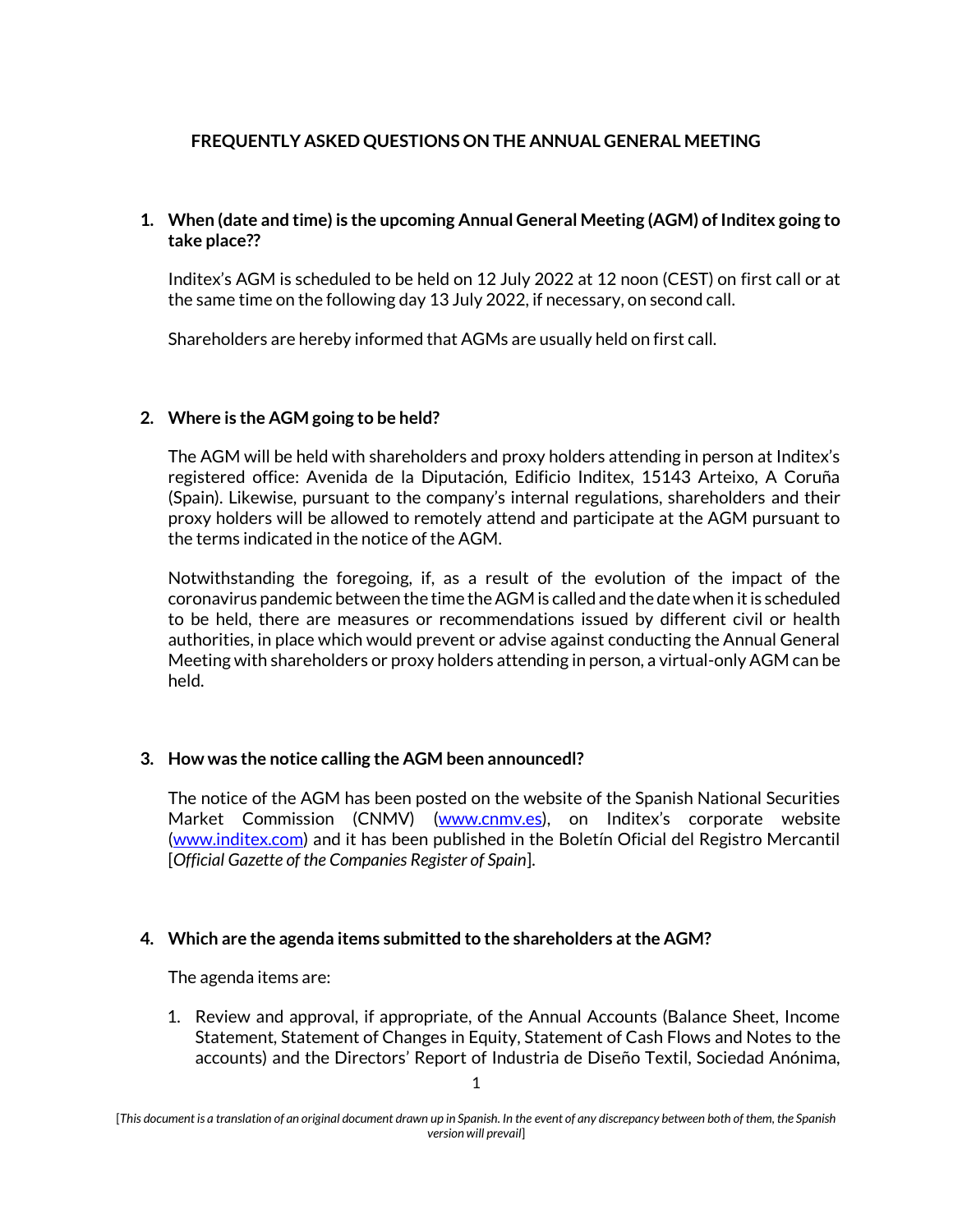# **FREQUENTLY ASKED QUESTIONS ON THE ANNUAL GENERAL MEETING**

# **1. When (date and time) is the upcoming Annual General Meeting (AGM) of Inditex going to take place??**

Inditex's AGM is scheduled to be held on 12 July 2022 at 12 noon (CEST) on first call or at the same time on the following day 13 July 2022, if necessary, on second call.

Shareholders are hereby informed that AGMs are usually held on first call.

## **2. Where is the AGM going to be held?**

The AGM will be held with shareholders and proxy holders attending in person at Inditex's registered office: Avenida de la Diputación, Edificio Inditex, 15143 Arteixo, A Coruña (Spain). Likewise, pursuant to the company's internal regulations, shareholders and their proxy holders will be allowed to remotely attend and participate at the AGM pursuant to the terms indicated in the notice of the AGM.

Notwithstanding the foregoing, if, as a result of the evolution of the impact of the coronavirus pandemic between the time the AGM is called and the date when it is scheduled to be held, there are measures or recommendations issued by different civil or health authorities, in place which would prevent or advise against conducting the Annual General Meeting with shareholders or proxy holders attending in person, a virtual-only AGM can be held.

## **3. How was the notice calling the AGM been announcedl?**

The notice of the AGM has been posted on the website of the Spanish National Securities Market Commission (CNMV) [\(www.cnmv.es](http://www.cnmv.es/)), on Inditex's corporate website [\(www.inditex.com\)](http://www.inditex.com/) and it has been published in the Boletín Oficial del Registro Mercantil [*Official Gazette of the Companies Register of Spain*].

#### **4. Which are the agenda items submitted to the shareholders at the AGM?**

The agenda items are:

1. Review and approval, if appropriate, of the Annual Accounts (Balance Sheet, Income Statement, Statement of Changes in Equity, Statement of Cash Flows and Notes to the accounts) and the Directors' Report of Industria de Diseño Textil, Sociedad Anónima,

<sup>[</sup>*This document is a translation of an original document drawn up in Spanish. In the event of any discrepancy between both of them, the Spanish version will prevail*]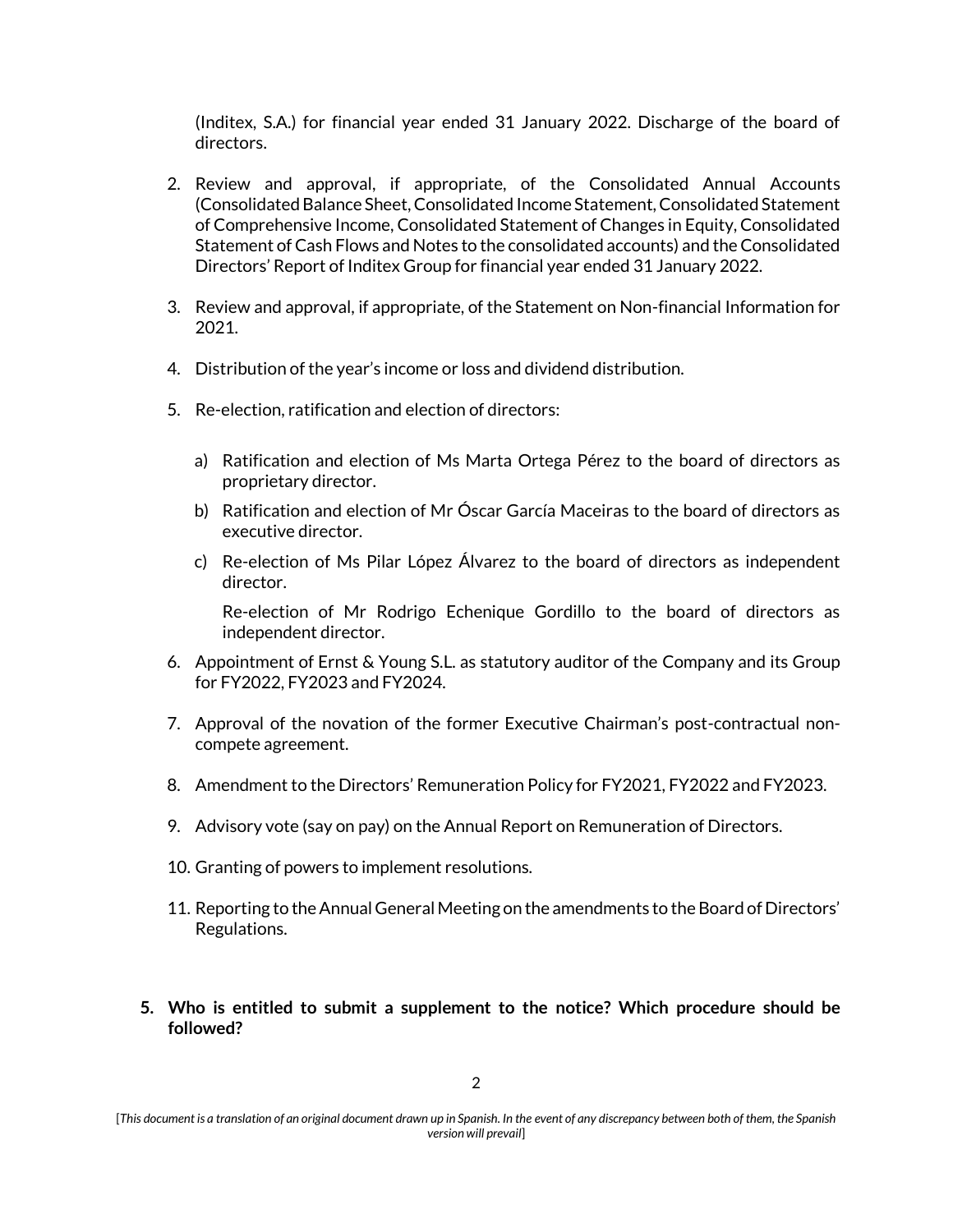(Inditex, S.A.) for financial year ended 31 January 2022. Discharge of the board of directors.

- 2. Review and approval, if appropriate, of the Consolidated Annual Accounts (Consolidated Balance Sheet, Consolidated Income Statement, Consolidated Statement of Comprehensive Income, Consolidated Statement of Changes in Equity, Consolidated Statement of Cash Flows and Notes to the consolidated accounts) and the Consolidated Directors' Report of Inditex Group for financial year ended 31 January 2022.
- 3. Review and approval, if appropriate, of the Statement on Non-financial Information for 2021.
- 4. Distribution of the year's income or loss and dividend distribution.
- 5. Re-election, ratification and election of directors:
	- a) Ratification and election of Ms Marta Ortega Pérez to the board of directors as proprietary director.
	- b) Ratification and election of Mr Óscar García Maceiras to the board of directors as executive director.
	- c) Re-election of Ms Pilar López Álvarez to the board of directors as independent director.

Re-election of Mr Rodrigo Echenique Gordillo to the board of directors as independent director.

- 6. Appointment of Ernst & Young S.L. as statutory auditor of the Company and its Group for FY2022, FY2023 and FY2024.
- 7. Approval of the novation of the former Executive Chairman's post-contractual noncompete agreement.
- 8. Amendment to the Directors' Remuneration Policy for FY2021, FY2022 and FY2023.
- 9. Advisory vote (say on pay) on the Annual Report on Remuneration of Directors.
- 10. Granting of powers to implement resolutions.
- 11. Reporting to the Annual General Meeting on the amendments to the Board of Directors' Regulations.
- **5. Who is entitled to submit a supplement to the notice? Which procedure should be followed?**

<sup>[</sup>*This document is a translation of an original document drawn up in Spanish. In the event of any discrepancy between both of them, the Spanish version will prevail*]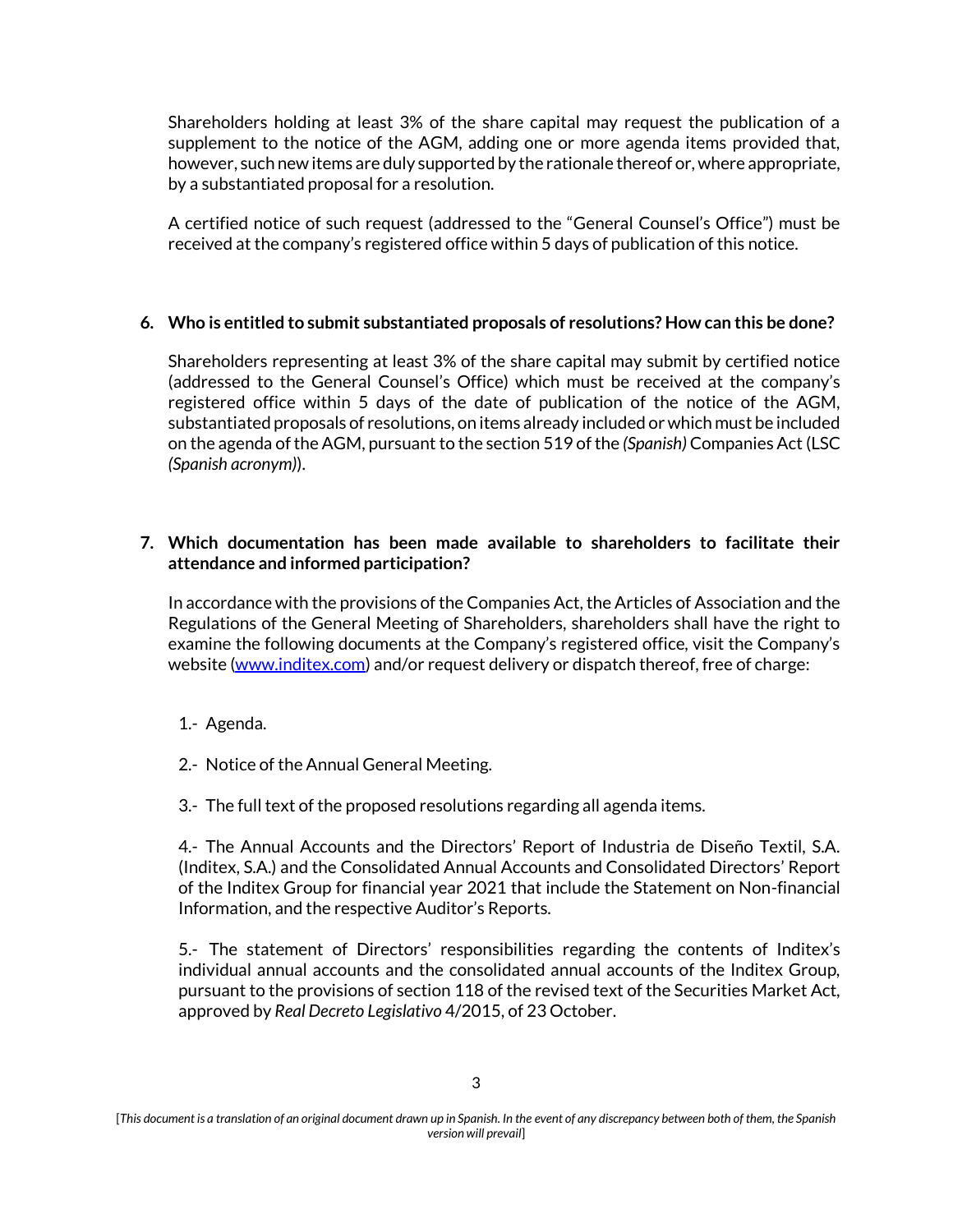Shareholders holding at least 3% of the share capital may request the publication of a supplement to the notice of the AGM, adding one or more agenda items provided that, however, such new items are duly supported by the rationale thereof or, where appropriate, by a substantiated proposal for a resolution.

A certified notice of such request (addressed to the "General Counsel's Office") must be received at the company's registered office within 5 days of publication of this notice.

### **6. Who is entitled to submit substantiated proposals of resolutions? How can this be done?**

Shareholders representing at least 3% of the share capital may submit by certified notice (addressed to the General Counsel's Office) which must be received at the company's registered office within 5 days of the date of publication of the notice of the AGM, substantiated proposals of resolutions, on items already included or which must be included on the agenda of the AGM, pursuant to the section 519 of the *(Spanish)* Companies Act (LSC *(Spanish acronym)*).

## **7. Which documentation has been made available to shareholders to facilitate their attendance and informed participation?**

In accordance with the provisions of the Companies Act, the Articles of Association and the Regulations of the General Meeting of Shareholders, shareholders shall have the right to examine the following documents at the Company's registered office, visit the Company's website (www.inditex.com) and/or request delivery or dispatch thereof, free of charge:

- 1.- Agenda.
- 2.- Notice of the Annual General Meeting.
- 3.- The full text of the proposed resolutions regarding all agenda items.

4.- The Annual Accounts and the Directors' Report of Industria de Diseño Textil, S.A. (Inditex, S.A.) and the Consolidated Annual Accounts and Consolidated Directors' Report of the Inditex Group for financial year 2021 that include the Statement on Non-financial Information, and the respective Auditor's Reports.

5.- The statement of Directors' responsibilities regarding the contents of Inditex's individual annual accounts and the consolidated annual accounts of the Inditex Group, pursuant to the provisions of section 118 of the revised text of the Securities Market Act, approved by *Real Decreto Legislativo* 4/2015, of 23 October.

<sup>[</sup>*This document is a translation of an original document drawn up in Spanish. In the event of any discrepancy between both of them, the Spanish version will prevail*]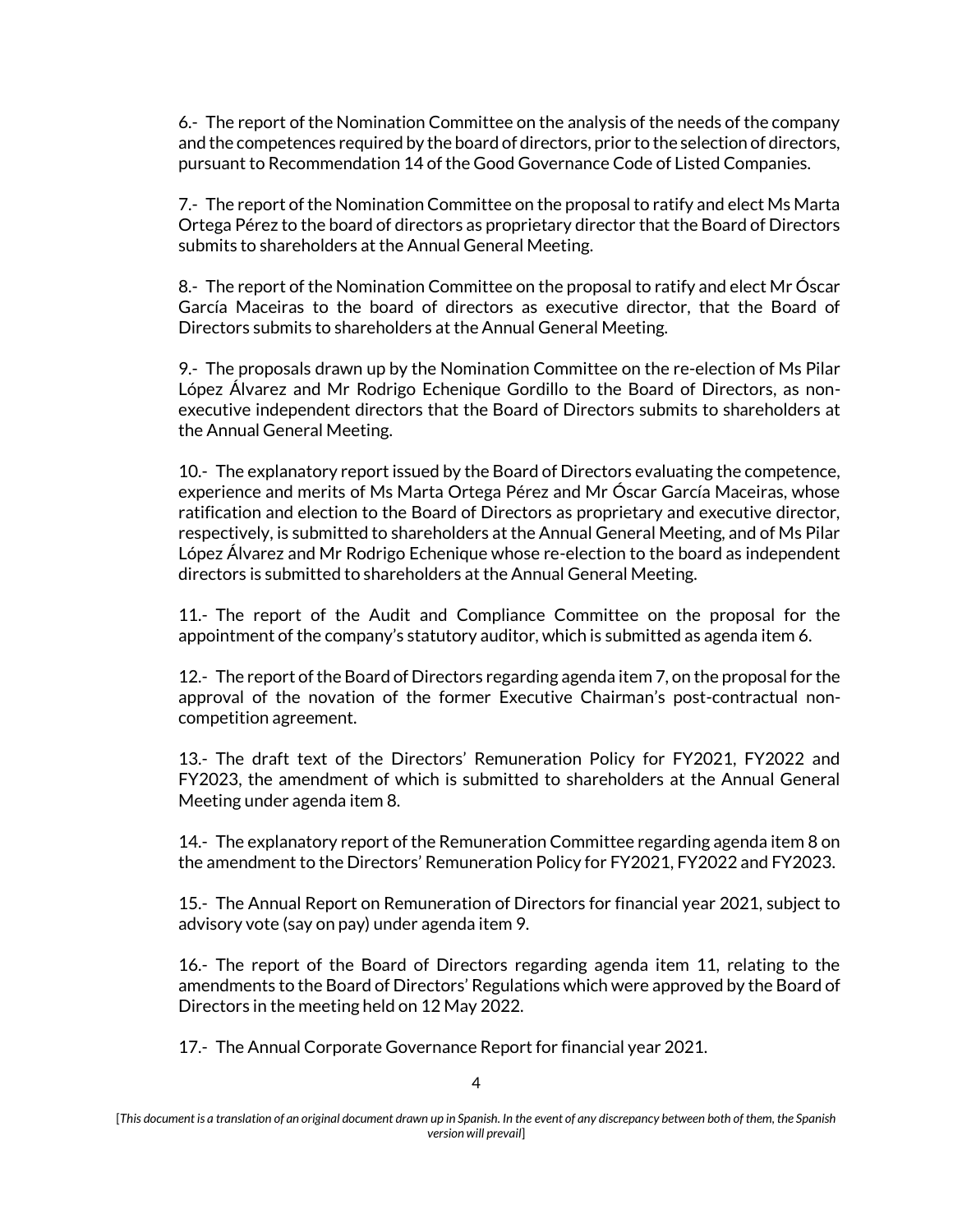6.- The report of the Nomination Committee on the analysis of the needs of the company and the competences required by the board of directors, prior to the selection of directors, pursuant to Recommendation 14 of the Good Governance Code of Listed Companies.

7.- The report of the Nomination Committee on the proposal to ratify and elect Ms Marta Ortega Pérez to the board of directors as proprietary director that the Board of Directors submits to shareholders at the Annual General Meeting.

8.- The report of the Nomination Committee on the proposal to ratify and elect Mr Óscar García Maceiras to the board of directors as executive director, that the Board of Directors submits to shareholders at the Annual General Meeting.

9.- The proposals drawn up by the Nomination Committee on the re-election of Ms Pilar López Álvarez and Mr Rodrigo Echenique Gordillo to the Board of Directors, as nonexecutive independent directors that the Board of Directors submits to shareholders at the Annual General Meeting.

10.- The explanatory report issued by the Board of Directors evaluating the competence, experience and merits of Ms Marta Ortega Pérez and Mr Óscar García Maceiras, whose ratification and election to the Board of Directors as proprietary and executive director, respectively, is submitted to shareholders at the Annual General Meeting, and of Ms Pilar López Álvarez and Mr Rodrigo Echenique whose re-election to the board as independent directors is submitted to shareholders at the Annual General Meeting.

11.- The report of the Audit and Compliance Committee on the proposal for the appointment of the company's statutory auditor, which is submitted as agenda item 6.

12.- The report of the Board of Directors regarding agenda item 7, on the proposal for the approval of the novation of the former Executive Chairman's post-contractual noncompetition agreement.

13.- The draft text of the Directors' Remuneration Policy for FY2021, FY2022 and FY2023, the amendment of which is submitted to shareholders at the Annual General Meeting under agenda item 8.

14.- The explanatory report of the Remuneration Committee regarding agenda item 8 on the amendment to the Directors' Remuneration Policy for FY2021, FY2022 and FY2023.

15.- The Annual Report on Remuneration of Directors for financial year 2021, subject to advisory vote (say on pay) under agenda item 9.

16.- The report of the Board of Directors regarding agenda item 11, relating to the amendments to the Board of Directors' Regulations which were approved by the Board of Directors in the meeting held on 12 May 2022.

17.- The Annual Corporate Governance Report for financial year 2021.

<sup>[</sup>*This document is a translation of an original document drawn up in Spanish. In the event of any discrepancy between both of them, the Spanish version will prevail*]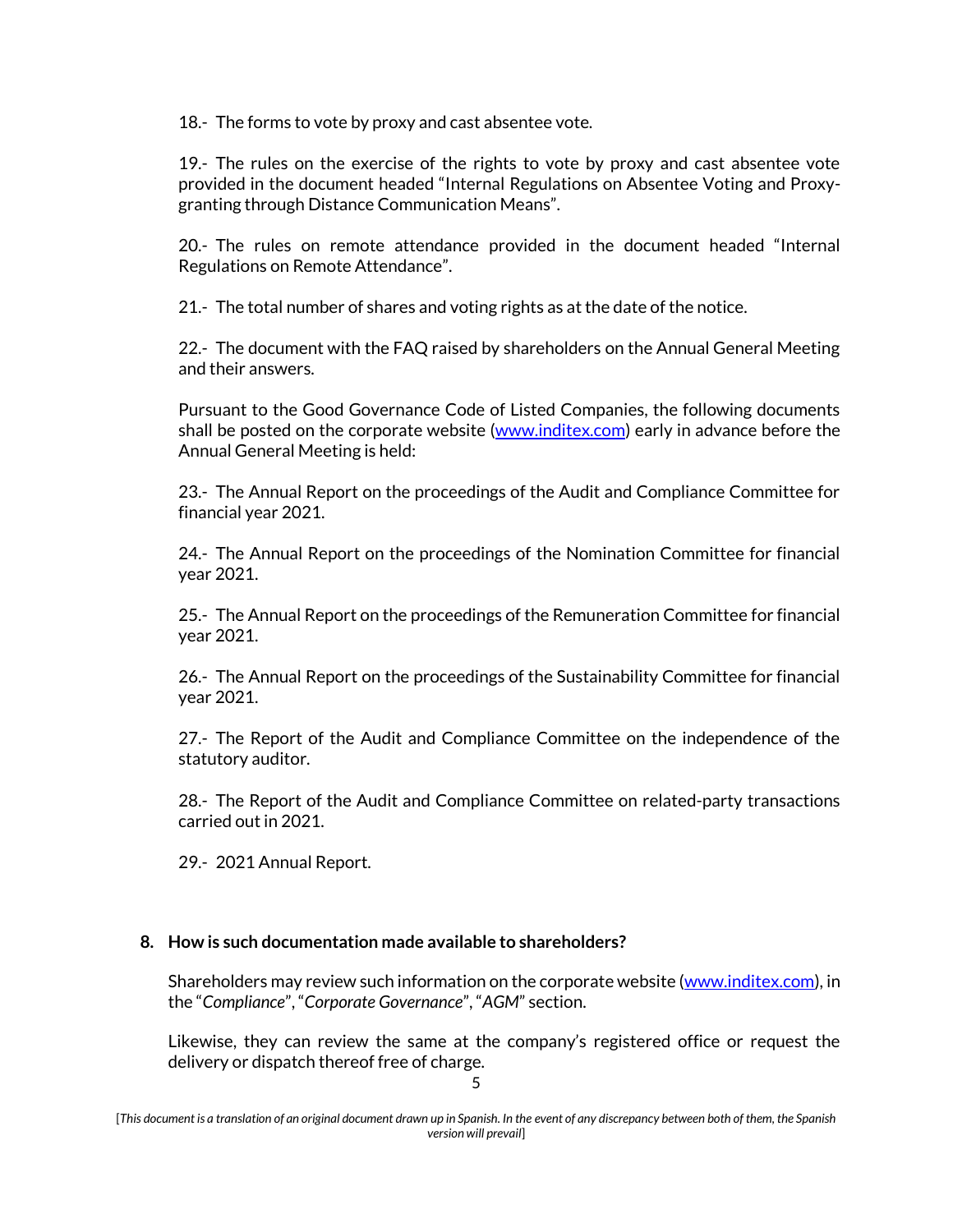18.- The forms to vote by proxy and cast absentee vote.

19.- The rules on the exercise of the rights to vote by proxy and cast absentee vote provided in the document headed "Internal Regulations on Absentee Voting and Proxygranting through Distance Communication Means".

20.- The rules on remote attendance provided in the document headed "Internal Regulations on Remote Attendance".

21.- The total number of shares and voting rights as at the date of the notice.

22.- The document with the FAQ raised by shareholders on the Annual General Meeting and their answers.

Pursuant to the Good Governance Code of Listed Companies, the following documents shall be posted on the corporate website [\(www.inditex.com\)](http://www.inditex.com/) early in advance before the Annual General Meeting is held:

23.- The Annual Report on the proceedings of the Audit and Compliance Committee for financial year 2021.

24.- The Annual Report on the proceedings of the Nomination Committee for financial year 2021.

25.- The Annual Report on the proceedings of the Remuneration Committee for financial year 2021.

26.- The Annual Report on the proceedings of the Sustainability Committee for financial year 2021.

27.- The Report of the Audit and Compliance Committee on the independence of the statutory auditor.

28.- The Report of the Audit and Compliance Committee on related-party transactions carried out in 2021.

29.- 2021 Annual Report.

## **8. How is such documentation made available to shareholders?**

Shareholders may review such information on the corporate website [\(www.inditex.com\)](http://www.inditex.com/), in the "*Compliance*", "*Corporate Governance*", "*AGM*" section.

Likewise, they can review the same at the company's registered office or request the delivery or dispatch thereof free of charge.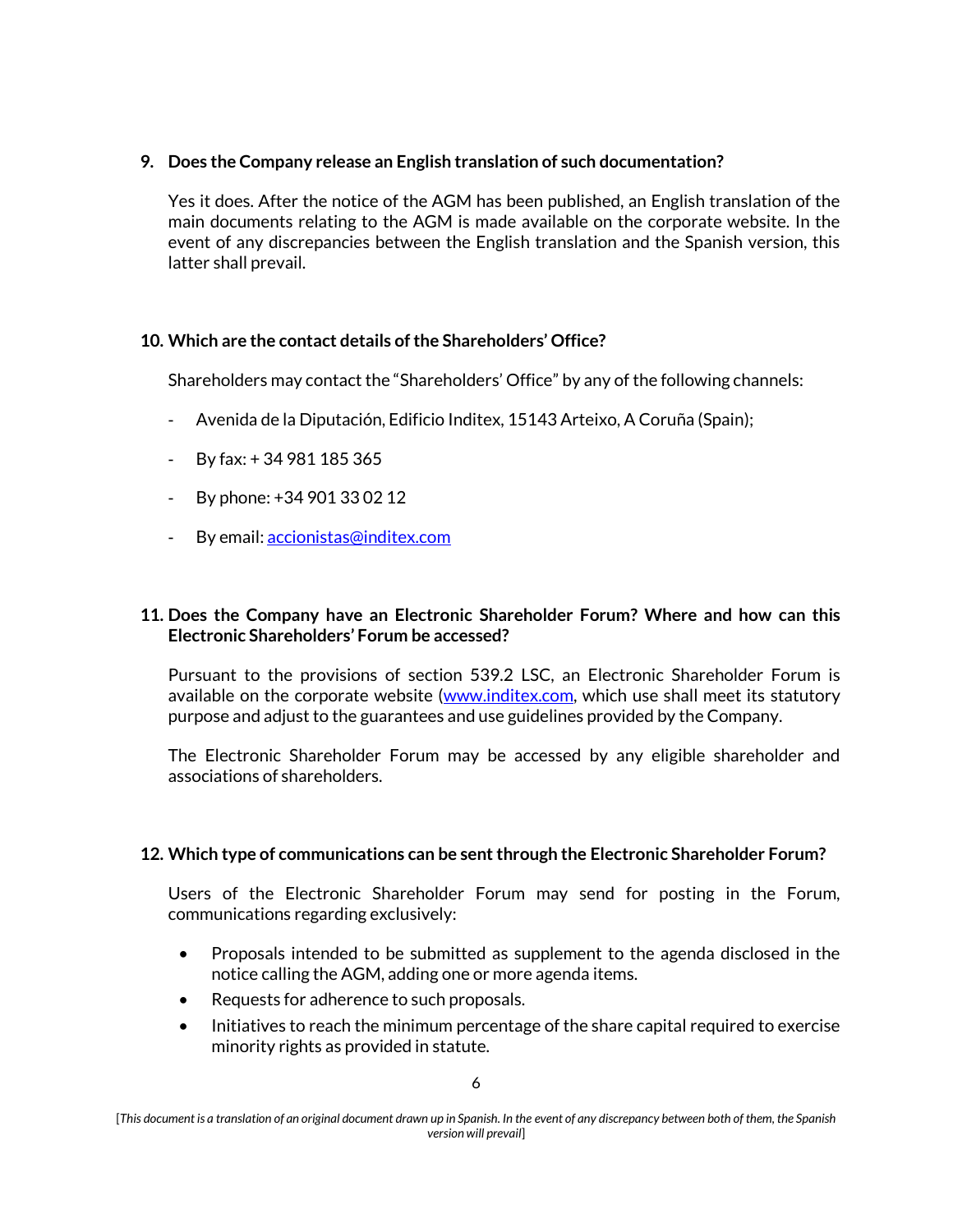# **9. Does the Company release an English translation of such documentation?**

Yes it does. After the notice of the AGM has been published, an English translation of the main documents relating to the AGM is made available on the corporate website. In the event of any discrepancies between the English translation and the Spanish version, this latter shall prevail.

# **10. Which are the contact details of the Shareholders' Office?**

Shareholders may contact the "Shareholders' Office" by any of the following channels:

- Avenida de la Diputación, Edificio Inditex, 15143 Arteixo, A Coruña (Spain);
- $-$  By fax:  $+34981185365$
- By phone: +34 901 33 02 12
- By email: [accionistas@inditex.com](mailto:accionistas@inditex.com)

### **11. Does the Company have an Electronic Shareholder Forum? Where and how can this Electronic Shareholders' Forum be accessed?**

Pursuant to the provisions of section 539.2 LSC, an Electronic Shareholder Forum is available on the corporate website (www.inditex.com, which use shall meet its statutory purpose and adjust to the guarantees and use guidelines provided by the Company.

The Electronic Shareholder Forum may be accessed by any eligible shareholder and associations of shareholders.

## **12. Which type of communications can be sent through the Electronic Shareholder Forum?**

Users of the Electronic Shareholder Forum may send for posting in the Forum, communications regarding exclusively:

- Proposals intended to be submitted as supplement to the agenda disclosed in the notice calling the AGM, adding one or more agenda items.
- Requests for adherence to such proposals.
- Initiatives to reach the minimum percentage of the share capital required to exercise minority rights as provided in statute.

<sup>[</sup>*This document is a translation of an original document drawn up in Spanish. In the event of any discrepancy between both of them, the Spanish version will prevail*]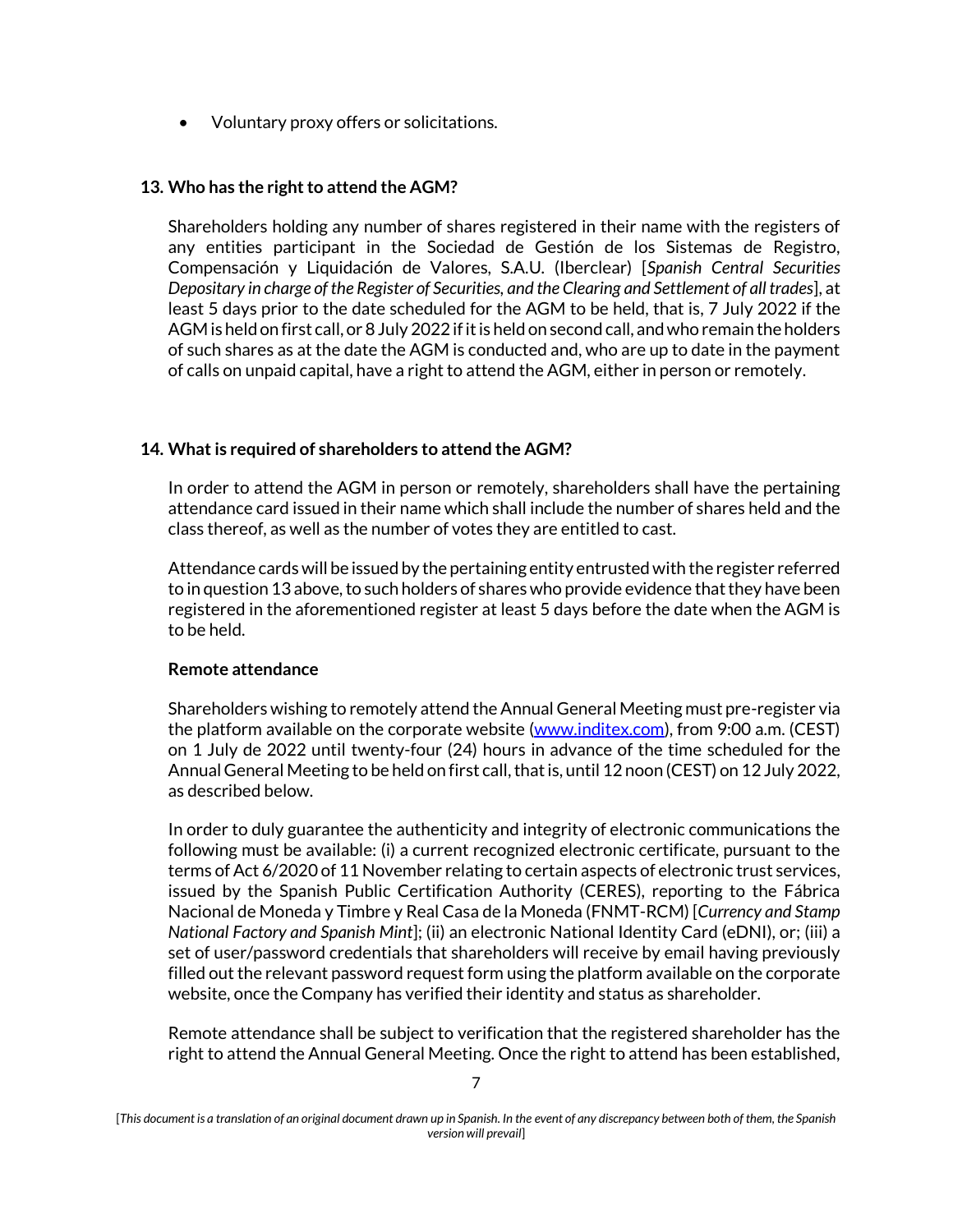• Voluntary proxy offers or solicitations.

## **13. Who has the right to attend the AGM?**

Shareholders holding any number of shares registered in their name with the registers of any entities participant in the Sociedad de Gestión de los Sistemas de Registro, Compensación y Liquidación de Valores, S.A.U. (Iberclear) [*Spanish Central Securities Depositary in charge of the Register of Securities, and the Clearing and Settlement of all trades*], at least 5 days prior to the date scheduled for the AGM to be held, that is, 7 July 2022 if the AGM is held on first call, or 8 July 2022 if it is held on second call, and who remain the holders of such shares as at the date the AGM is conducted and, who are up to date in the payment of calls on unpaid capital, have a right to attend the AGM, either in person or remotely.

### **14. What is required of shareholders to attend the AGM?**

In order to attend the AGM in person or remotely, shareholders shall have the pertaining attendance card issued in their name which shall include the number of shares held and the class thereof, as well as the number of votes they are entitled to cast.

Attendance cards will be issued by the pertaining entity entrusted with the register referred to in question 13 above, to such holders of shares who provide evidence that they have been registered in the aforementioned register at least 5 days before the date when the AGM is to be held.

#### **Remote attendance**

Shareholders wishing to remotely attend the Annual General Meeting must pre-register via the platform available on the corporate website (www.inditex.com), from 9:00 a.m. (CEST) on 1 July de 2022 until twenty-four (24) hours in advance of the time scheduled for the Annual General Meeting to be held on first call, that is, until 12 noon (CEST) on 12 July 2022, as described below.

In order to duly guarantee the authenticity and integrity of electronic communications the following must be available: (i) a current recognized electronic certificate, pursuant to the terms of Act 6/2020 of 11 November relating to certain aspects of electronic trust services, issued by the Spanish Public Certification Authority (CERES), reporting to the Fábrica Nacional de Moneda y Timbre y Real Casa de la Moneda (FNMT-RCM) [*Currency and Stamp National Factory and Spanish Mint*]; (ii) an electronic National Identity Card (eDNI), or; (iii) a set of user/password credentials that shareholders will receive by email having previously filled out the relevant password request form using the platform available on the corporate website, once the Company has verified their identity and status as shareholder.

Remote attendance shall be subject to verification that the registered shareholder has the right to attend the Annual General Meeting. Once the right to attend has been established,

<sup>[</sup>*This document is a translation of an original document drawn up in Spanish. In the event of any discrepancy between both of them, the Spanish version will prevail*]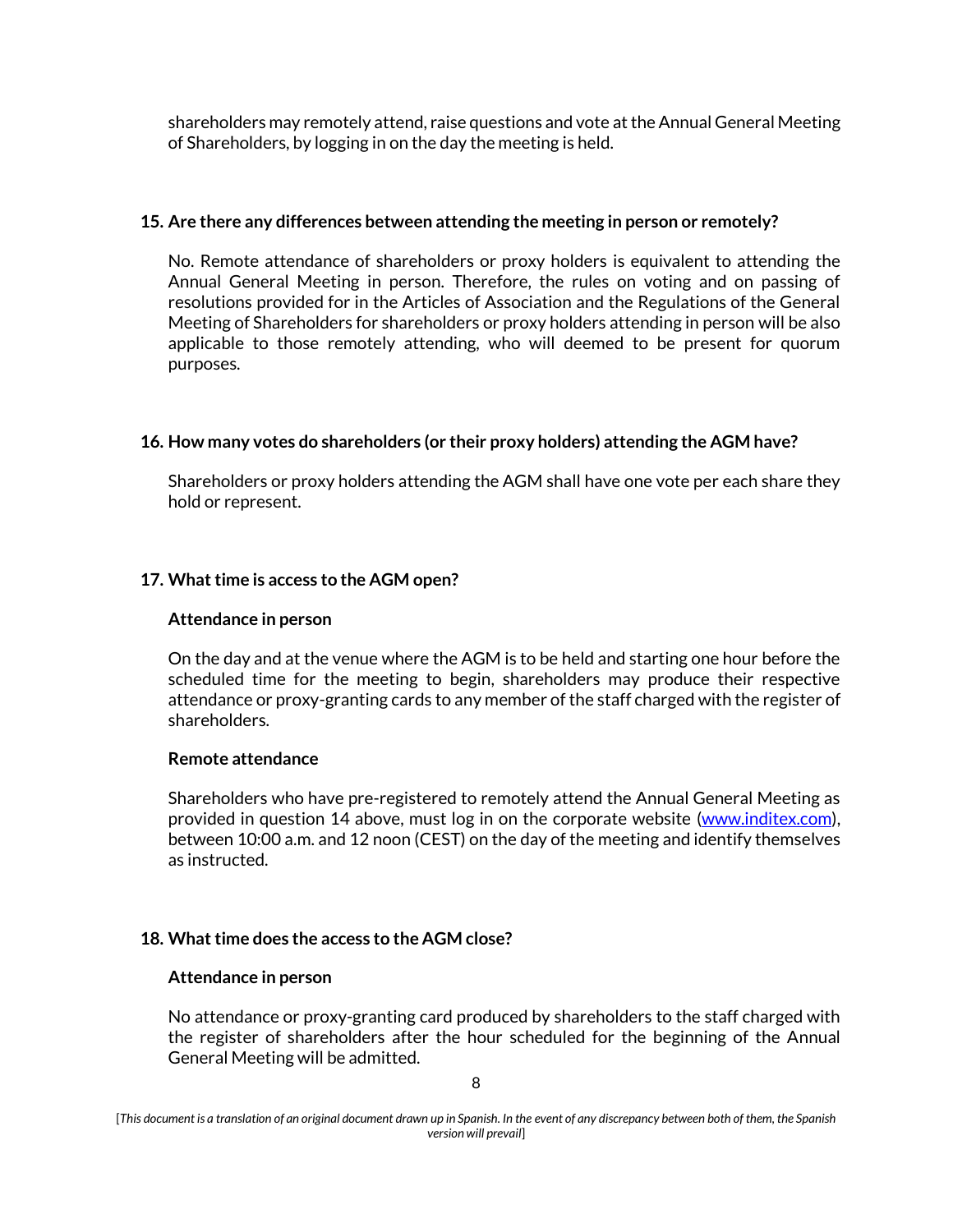shareholders may remotely attend, raise questions and vote at the Annual General Meeting of Shareholders, by logging in on the day the meeting is held.

### **15. Are there any differences between attending the meeting in person or remotely?**

No. Remote attendance of shareholders or proxy holders is equivalent to attending the Annual General Meeting in person. Therefore, the rules on voting and on passing of resolutions provided for in the Articles of Association and the Regulations of the General Meeting of Shareholders for shareholders or proxy holders attending in person will be also applicable to those remotely attending, who will deemed to be present for quorum purposes.

## **16. How many votes do shareholders (or their proxy holders) attending the AGM have?**

Shareholders or proxy holders attending the AGM shall have one vote per each share they hold or represent.

## **17. What time is access to the AGM open?**

#### **Attendance in person**

On the day and at the venue where the AGM is to be held and starting one hour before the scheduled time for the meeting to begin, shareholders may produce their respective attendance or proxy-granting cards to any member of the staff charged with the register of shareholders.

#### **Remote attendance**

Shareholders who have pre-registered to remotely attend the Annual General Meeting as provided in question 14 above, must log in on the corporate website (www.inditex.com), between 10:00 a.m. and 12 noon (CEST) on the day of the meeting and identify themselves as instructed.

#### **18. What time does the access to the AGM close?**

#### **Attendance in person**

No attendance or proxy-granting card produced by shareholders to the staff charged with the register of shareholders after the hour scheduled for the beginning of the Annual General Meeting will be admitted.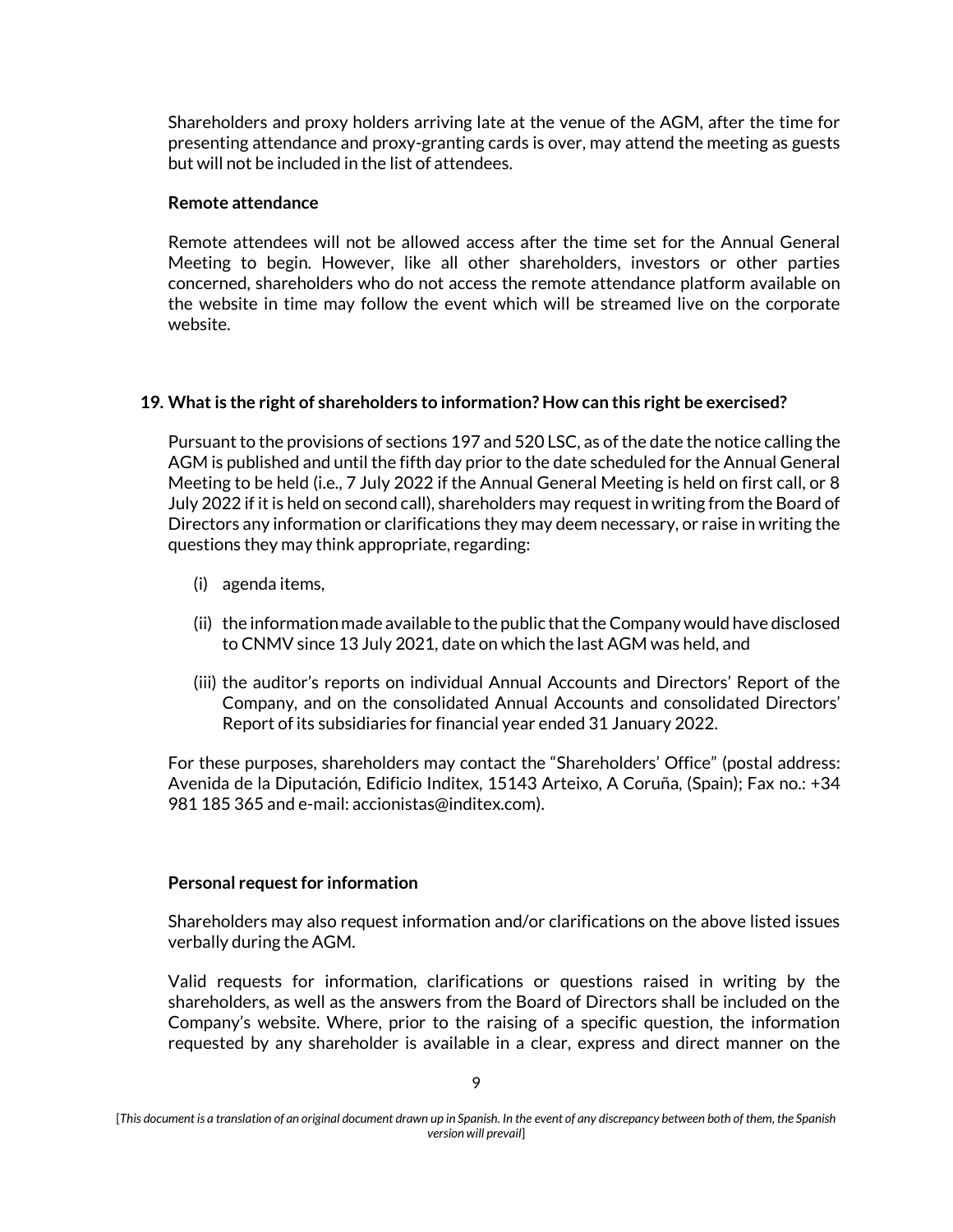Shareholders and proxy holders arriving late at the venue of the AGM, after the time for presenting attendance and proxy-granting cards is over, may attend the meeting as guests but will not be included in the list of attendees.

### **Remote attendance**

Remote attendees will not be allowed access after the time set for the Annual General Meeting to begin. However, like all other shareholders, investors or other parties concerned, shareholders who do not access the remote attendance platform available on the website in time may follow the event which will be streamed live on the corporate website.

## **19. What is the right of shareholders to information? How can this right be exercised?**

Pursuant to the provisions of sections 197 and 520 LSC, as of the date the notice calling the AGM is published and until the fifth day prior to the date scheduled for the Annual General Meeting to be held (i.e., 7 July 2022 if the Annual General Meeting is held on first call, or 8 July 2022 if itis held on second call), shareholders may request in writing from the Board of Directors any information or clarifications they may deem necessary, or raise in writing the questions they may think appropriate, regarding:

- (i) agenda items,
- (ii) the information made available to the public that the Company would have disclosed to CNMV since 13 July 2021, date on which the last AGM was held, and
- (iii) the auditor's reports on individual Annual Accounts and Directors' Report of the Company, and on the consolidated Annual Accounts and consolidated Directors' Report of its subsidiaries for financial year ended 31 January 2022.

For these purposes, shareholders may contact the "Shareholders' Office" (postal address: Avenida de la Diputación, Edificio Inditex, 15143 Arteixo, A Coruña, (Spain); Fax no.: +34 981 185 365 and e-mail: accionistas@inditex.com).

## **Personal request for information**

Shareholders may also request information and/or clarifications on the above listed issues verbally during the AGM.

Valid requests for information, clarifications or questions raised in writing by the shareholders, as well as the answers from the Board of Directors shall be included on the Company's website. Where, prior to the raising of a specific question, the information requested by any shareholder is available in a clear, express and direct manner on the

<sup>[</sup>*This document is a translation of an original document drawn up in Spanish. In the event of any discrepancy between both of them, the Spanish version will prevail*]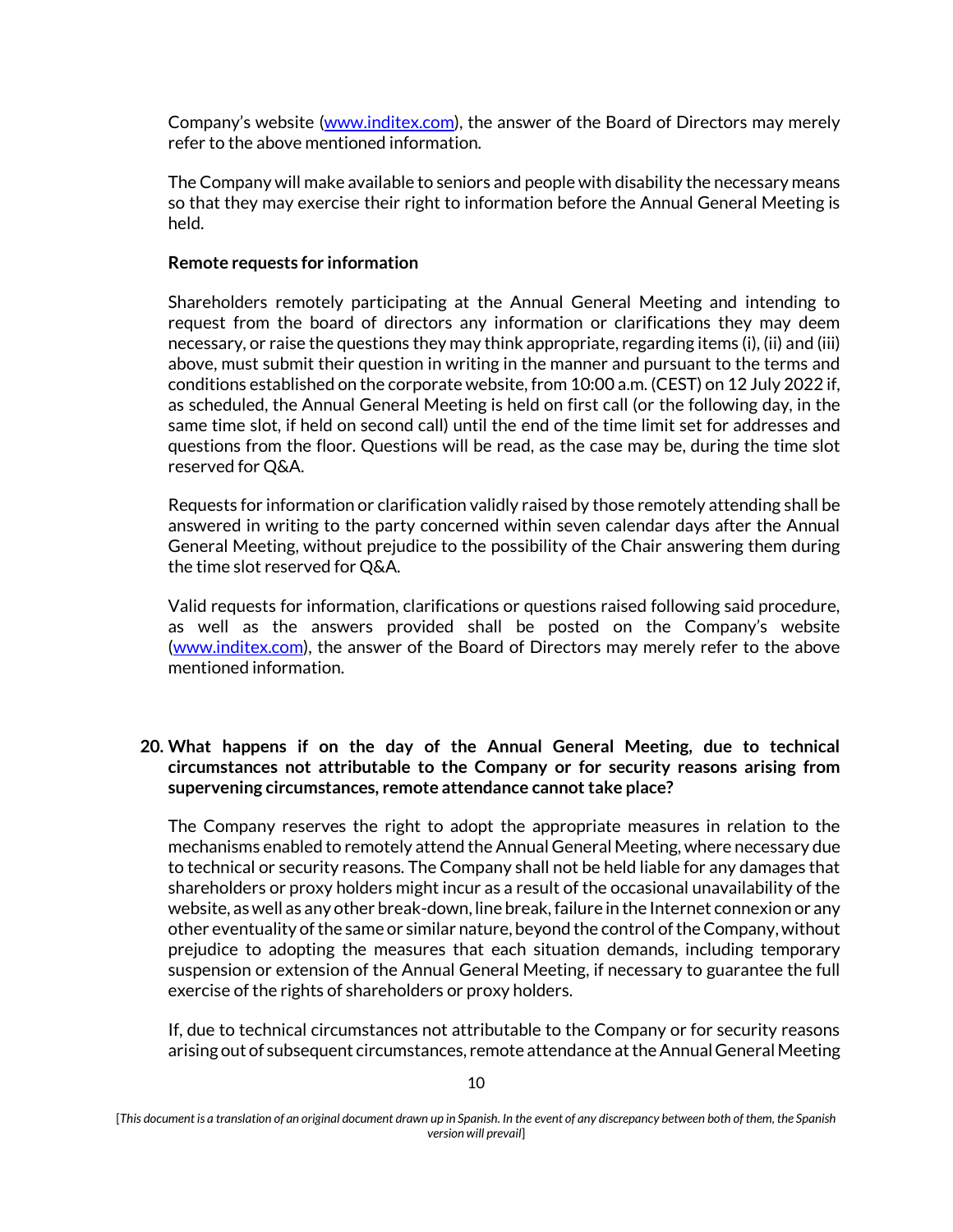Company's website [\(www.inditex.com\)](http://www.inditex.com/), the answer of the Board of Directors may merely refer to the above mentioned information.

The Company will make available to seniors and people with disability the necessary means so that they may exercise their right to information before the Annual General Meeting is held.

#### **Remote requests for information**

Shareholders remotely participating at the Annual General Meeting and intending to request from the board of directors any information or clarifications they may deem necessary, or raise the questions they may think appropriate, regarding items (i), (ii) and (iii) above, must submit their question in writing in the manner and pursuant to the terms and conditions established on the corporate website, from 10:00 a.m. (CEST) on 12 July 2022 if, as scheduled, the Annual General Meeting is held on first call (or the following day, in the same time slot, if held on second call) until the end of the time limit set for addresses and questions from the floor. Questions will be read, as the case may be, during the time slot reserved for Q&A.

Requests for information or clarification validly raised by those remotely attending shall be answered in writing to the party concerned within seven calendar days after the Annual General Meeting, without prejudice to the possibility of the Chair answering them during the time slot reserved for Q&A.

Valid requests for information, clarifications or questions raised following said procedure, as well as the answers provided shall be posted on the Company's website [\(www.inditex.com\)](http://www.inditex.com/), the answer of the Board of Directors may merely refer to the above mentioned information.

## **20. What happens if on the day of the Annual General Meeting, due to technical circumstances not attributable to the Company or for security reasons arising from supervening circumstances, remote attendance cannot take place?**

The Company reserves the right to adopt the appropriate measures in relation to the mechanisms enabled to remotely attend the Annual General Meeting, where necessary due to technical or security reasons. The Company shall not be held liable for any damages that shareholders or proxy holders might incur as a result of the occasional unavailability of the website, as well as any other break-down, line break, failure in the Internet connexion or any other eventuality of the same or similar nature, beyond the control of the Company, without prejudice to adopting the measures that each situation demands, including temporary suspension or extension of the Annual General Meeting, if necessary to guarantee the full exercise of the rights of shareholders or proxy holders.

If, due to technical circumstances not attributable to the Company or for security reasons arising out of subsequent circumstances, remote attendance at the Annual General Meeting

<sup>[</sup>*This document is a translation of an original document drawn up in Spanish. In the event of any discrepancy between both of them, the Spanish version will prevail*]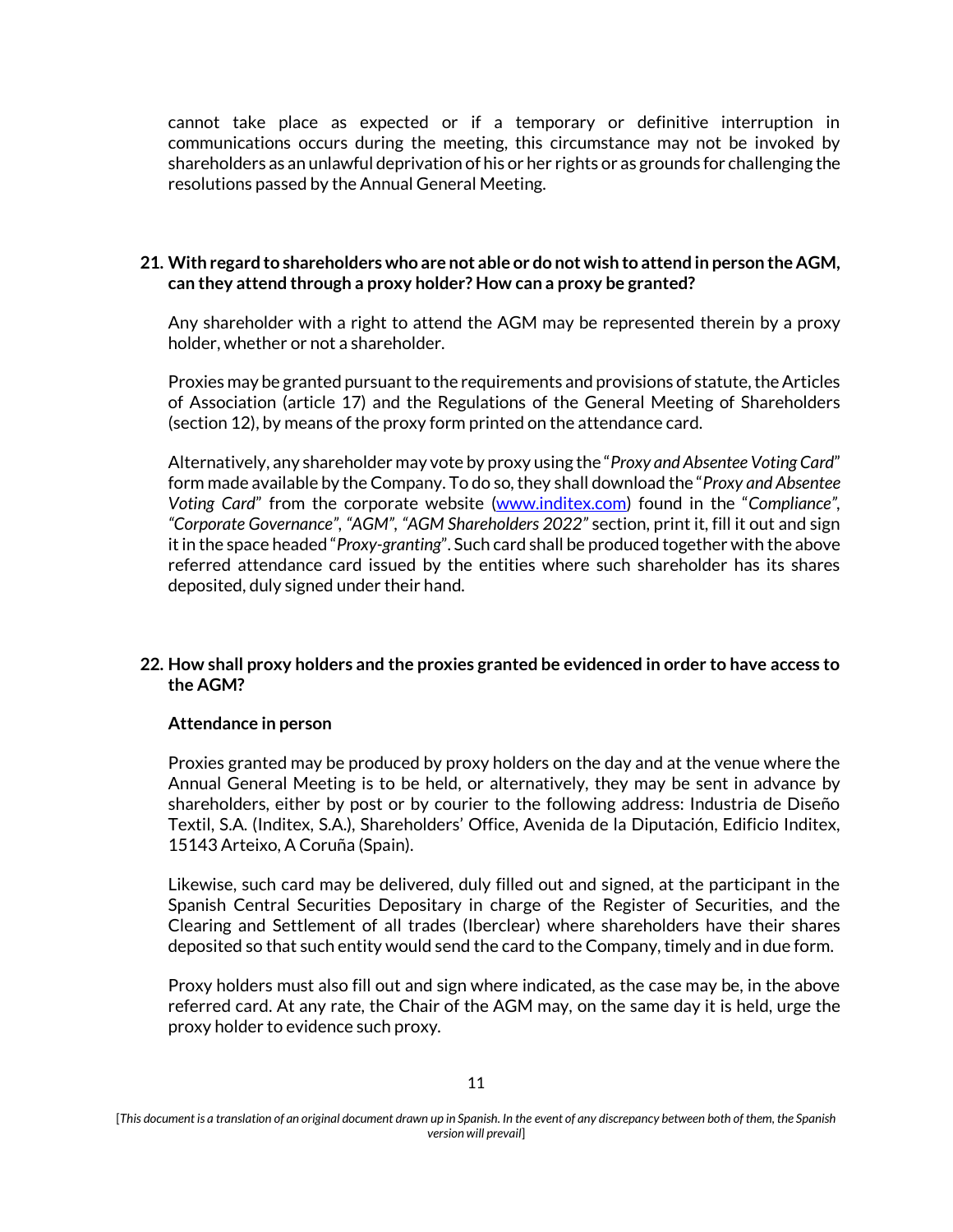cannot take place as expected or if a temporary or definitive interruption in communications occurs during the meeting, this circumstance may not be invoked by shareholders as an unlawful deprivation of his or her rights or as grounds for challenging the resolutions passed by the Annual General Meeting.

## **21. With regard to shareholders who are not able or do not wish to attend in person the AGM, can they attend through a proxy holder? How can a proxy be granted?**

Any shareholder with a right to attend the AGM may be represented therein by a proxy holder, whether or not a shareholder.

Proxies may be granted pursuant to the requirements and provisions of statute, the Articles of Association (article 17) and the Regulations of the General Meeting of Shareholders (section 12), by means of the proxy form printed on the attendance card.

Alternatively, any shareholder may vote by proxy using the "*Proxy and Absentee Voting Card*" form made available by the Company. To do so, they shall download the "*Proxy and Absentee Voting Card*" from the corporate website (www.inditex.com) found in the "*Compliance", "Corporate Governance", "AGM", "AGM Shareholders 2022"* section, print it, fill it out and sign it in the space headed "*Proxy-granting*". Such card shall be produced together with the above referred attendance card issued by the entities where such shareholder has its shares deposited, duly signed under their hand.

## **22. How shall proxy holders and the proxies granted be evidenced in order to have access to the AGM?**

## **Attendance in person**

Proxies granted may be produced by proxy holders on the day and at the venue where the Annual General Meeting is to be held, or alternatively, they may be sent in advance by shareholders, either by post or by courier to the following address: Industria de Diseño Textil, S.A. (Inditex, S.A.), Shareholders' Office, Avenida de la Diputación, Edificio Inditex, 15143 Arteixo, A Coruña (Spain).

Likewise, such card may be delivered, duly filled out and signed, at the participant in the Spanish Central Securities Depositary in charge of the Register of Securities, and the Clearing and Settlement of all trades (Iberclear) where shareholders have their shares deposited so that such entity would send the card to the Company, timely and in due form.

Proxy holders must also fill out and sign where indicated, as the case may be, in the above referred card. At any rate, the Chair of the AGM may, on the same day it is held, urge the proxy holder to evidence such proxy.

<sup>[</sup>*This document is a translation of an original document drawn up in Spanish. In the event of any discrepancy between both of them, the Spanish version will prevail*]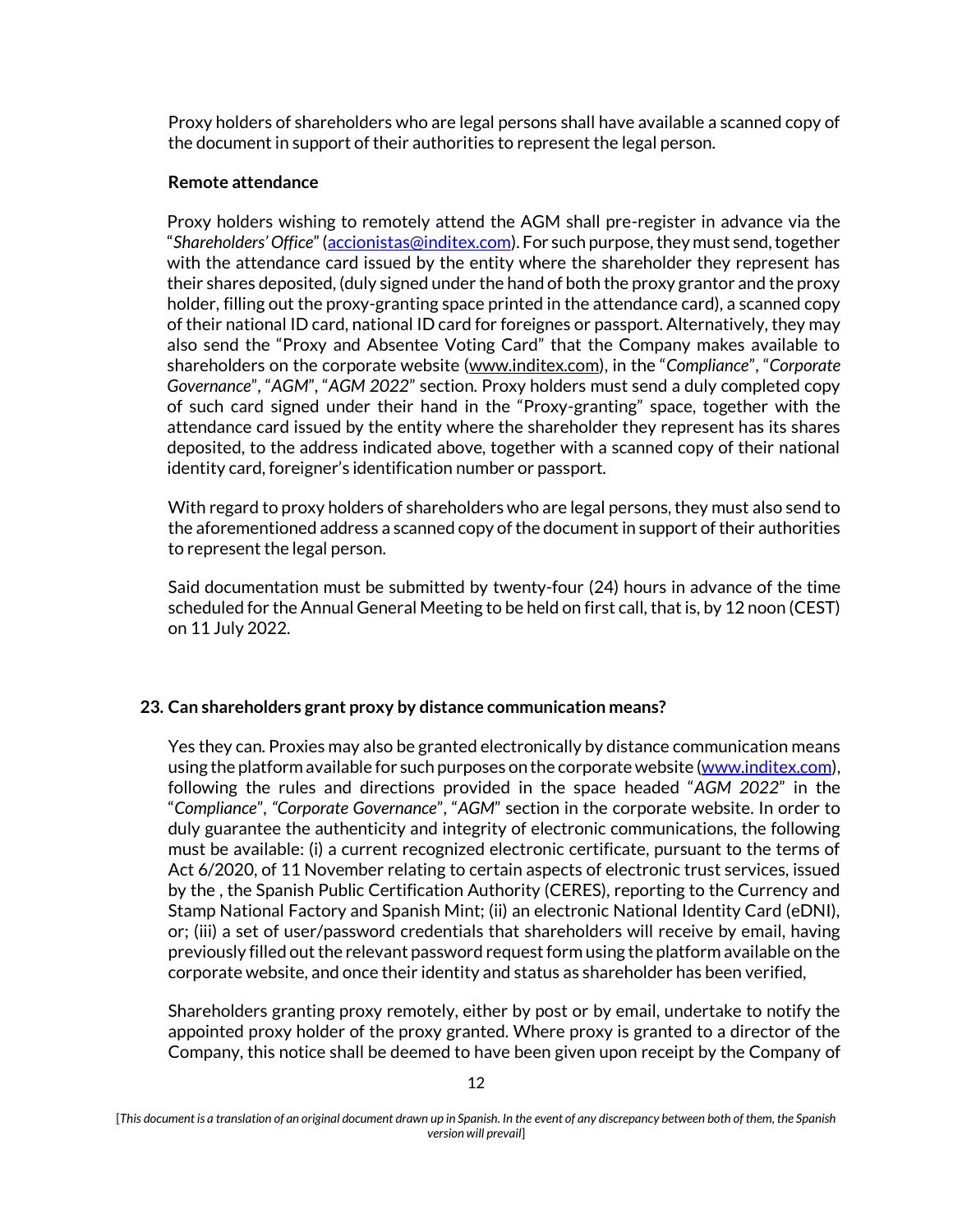Proxy holders of shareholders who are legal persons shall have available a scanned copy of the document in support of their authorities to represent the legal person.

### **Remote attendance**

Proxy holders wishing to remotely attend the AGM shall pre-register in advance via the "*Shareholders' Office*" ([accionistas@inditex.com\)](mailto:accionistas@inditex.com). For such purpose, they must send, together with the attendance card issued by the entity where the shareholder they represent has their shares deposited, (duly signed under the hand of both the proxy grantor and the proxy holder, filling out the proxy-granting space printed in the attendance card), a scanned copy of their national ID card, national ID card for foreignes or passport. Alternatively, they may also send the "Proxy and Absentee Voting Card" that the Company makes available to shareholders on the corporate website (www.inditex.com), in the "*Compliance*", "*Corporate Governance*", "*AGM*", "*AGM 2022*" section. Proxy holders must send a duly completed copy of such card signed under their hand in the "Proxy-granting" space, together with the attendance card issued by the entity where the shareholder they represent has its shares deposited, to the address indicated above, together with a scanned copy of their national identity card, foreigner's identification number or passport.

With regard to proxy holders of shareholders who are legal persons, they must also send to the aforementioned address a scanned copy of the document in support of their authorities to represent the legal person.

Said documentation must be submitted by twenty-four (24) hours in advance of the time scheduled for the Annual General Meeting to be held on first call, that is, by 12 noon (CEST) on 11 July 2022.

## **23. Can shareholders grant proxy by distance communication means?**

Yes they can. Proxies may also be granted electronically by distance communication means using the platform available for such purposes on the corporate website [\(www.inditex.com\)](http://www.inditex.com/), following the rules and directions provided in the space headed "*AGM 2022*" in the "*Compliance*", *"Corporate Governance*", "*AGM*" section in the corporate website. In order to duly guarantee the authenticity and integrity of electronic communications, the following must be available: (i) a current recognized electronic certificate, pursuant to the terms of Act 6/2020, of 11 November relating to certain aspects of electronic trust services, issued by the , the Spanish Public Certification Authority (CERES), reporting to the Currency and Stamp National Factory and Spanish Mint; (ii) an electronic National Identity Card (eDNI), or; (iii) a set of user/password credentials that shareholders will receive by email, having previously filled out the relevant password request form using the platform available on the corporate website, and once their identity and status as shareholder has been verified,

Shareholders granting proxy remotely, either by post or by email, undertake to notify the appointed proxy holder of the proxy granted. Where proxy is granted to a director of the Company, this notice shall be deemed to have been given upon receipt by the Company of

<sup>[</sup>*This document is a translation of an original document drawn up in Spanish. In the event of any discrepancy between both of them, the Spanish version will prevail*]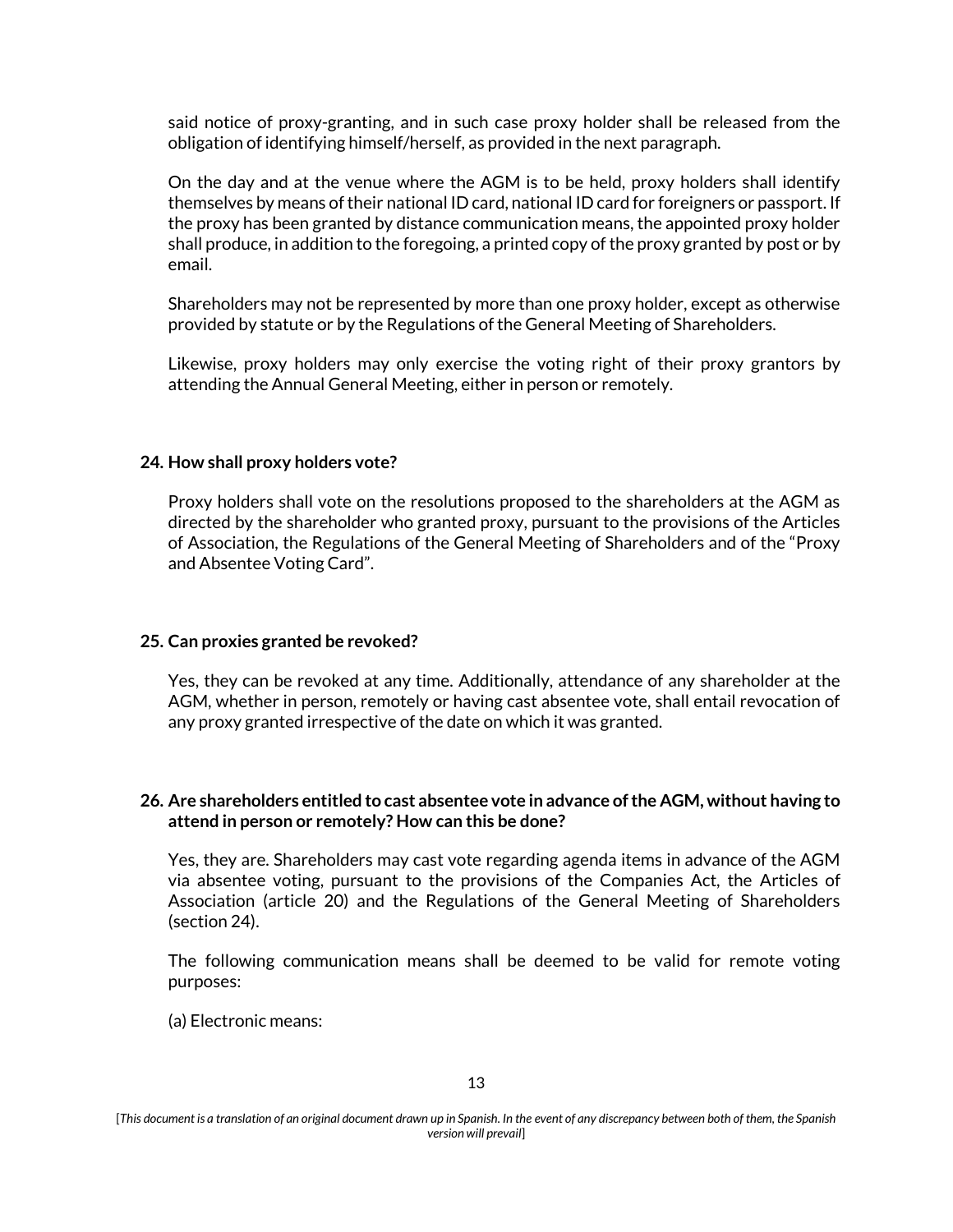said notice of proxy-granting, and in such case proxy holder shall be released from the obligation of identifying himself/herself, as provided in the next paragraph.

On the day and at the venue where the AGM is to be held, proxy holders shall identify themselves by means of their national ID card, national ID card for foreigners or passport. If the proxy has been granted by distance communication means, the appointed proxy holder shall produce, in addition to the foregoing, a printed copy of the proxy granted by post or by email.

Shareholders may not be represented by more than one proxy holder, except as otherwise provided by statute or by the Regulations of the General Meeting of Shareholders.

Likewise, proxy holders may only exercise the voting right of their proxy grantors by attending the Annual General Meeting, either in person or remotely.

### **24. How shall proxy holders vote?**

Proxy holders shall vote on the resolutions proposed to the shareholders at the AGM as directed by the shareholder who granted proxy, pursuant to the provisions of the Articles of Association, the Regulations of the General Meeting of Shareholders and of the "Proxy and Absentee Voting Card".

#### **25. Can proxies granted be revoked?**

Yes, they can be revoked at any time. Additionally, attendance of any shareholder at the AGM, whether in person, remotely or having cast absentee vote, shall entail revocation of any proxy granted irrespective of the date on which it was granted.

### **26. Are shareholders entitled to cast absentee vote in advance of the AGM, without having to attend in person or remotely? How can this be done?**

Yes, they are. Shareholders may cast vote regarding agenda items in advance of the AGM via absentee voting, pursuant to the provisions of the Companies Act, the Articles of Association (article 20) and the Regulations of the General Meeting of Shareholders (section 24).

The following communication means shall be deemed to be valid for remote voting purposes:

(a) Electronic means:

<sup>[</sup>*This document is a translation of an original document drawn up in Spanish. In the event of any discrepancy between both of them, the Spanish version will prevail*]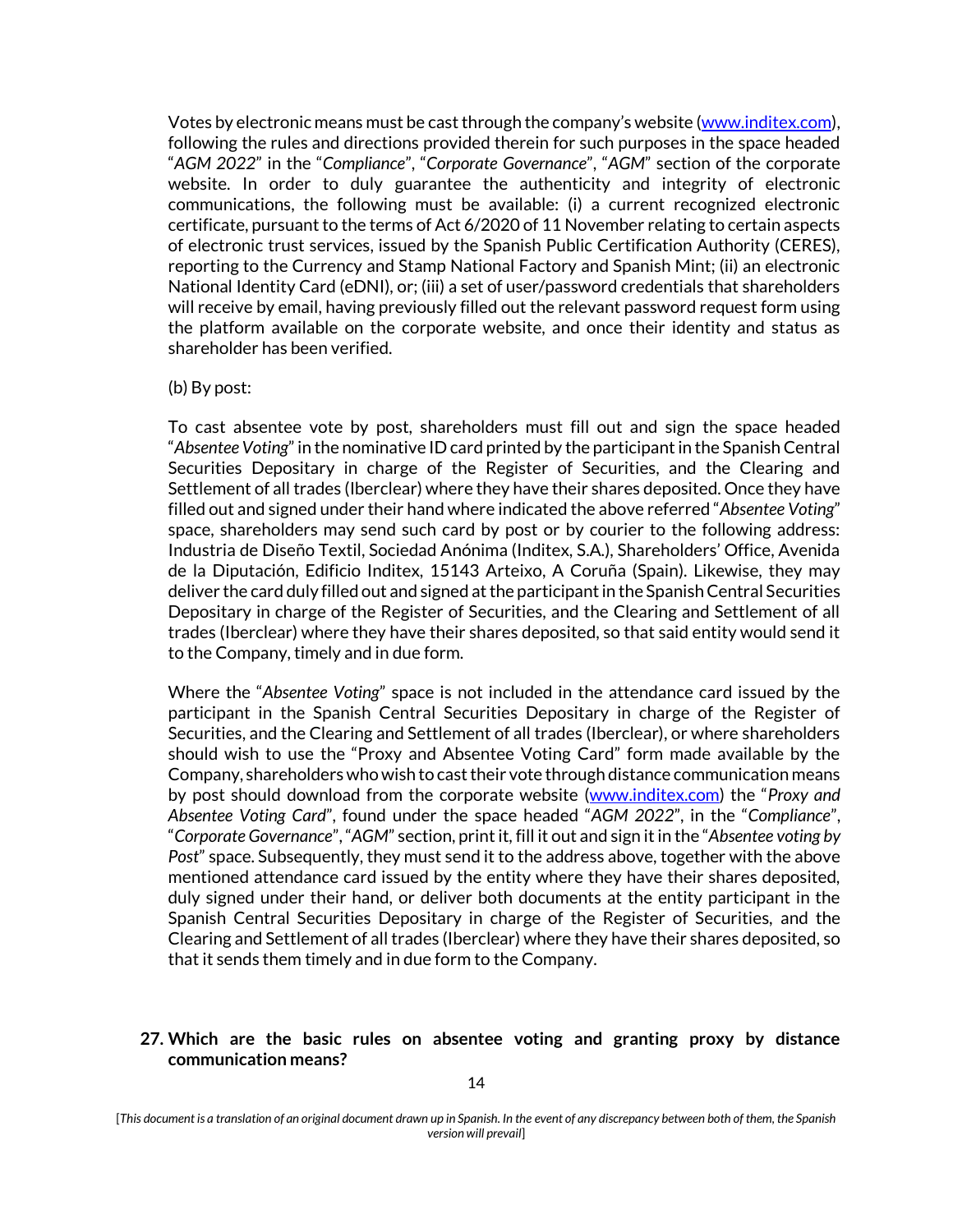Votes by electronic means must be cast through the company's website (www.inditex.com), following the rules and directions provided therein for such purposes in the space headed "*AGM 2022*" in the "*Compliance*", "*Corporate Governance*", "*AGM*" section of the corporate website. In order to duly guarantee the authenticity and integrity of electronic communications, the following must be available: (i) a current recognized electronic certificate, pursuant to the terms of Act 6/2020 of 11 November relating to certain aspects of electronic trust services, issued by the Spanish Public Certification Authority (CERES), reporting to the Currency and Stamp National Factory and Spanish Mint; (ii) an electronic National Identity Card (eDNI), or; (iii) a set of user/password credentials that shareholders will receive by email, having previously filled out the relevant password request form using the platform available on the corporate website, and once their identity and status as shareholder has been verified.

#### (b) By post:

To cast absentee vote by post, shareholders must fill out and sign the space headed "*Absentee Voting*" in the nominative ID card printed by the participant in the Spanish Central Securities Depositary in charge of the Register of Securities, and the Clearing and Settlement of all trades (Iberclear) where they have their shares deposited. Once they have filled out and signed under their hand where indicated the above referred "*Absentee Voting*" space, shareholders may send such card by post or by courier to the following address: Industria de Diseño Textil, Sociedad Anónima (Inditex, S.A.), Shareholders' Office, Avenida de la Diputación, Edificio Inditex, 15143 Arteixo, A Coruña (Spain). Likewise, they may deliver the card duly filled out and signed at the participant in the Spanish Central Securities Depositary in charge of the Register of Securities, and the Clearing and Settlement of all trades (Iberclear) where they have their shares deposited, so that said entity would send it to the Company, timely and in due form.

Where the "*Absentee Voting*" space is not included in the attendance card issued by the participant in the Spanish Central Securities Depositary in charge of the Register of Securities, and the Clearing and Settlement of all trades (Iberclear), or where shareholders should wish to use the "Proxy and Absentee Voting Card" form made available by the Company, shareholders who wish to cast their vote through distance communication means by post should download from the corporate website (www.inditex.com) the "*Proxy and Absentee Voting Card*", found under the space headed "*AGM 2022*", in the "*Compliance*", "*Corporate Governance*", "*AGM*" section, print it, fill it out and sign it in the "*Absentee voting by Post*" space. Subsequently, they must send it to the address above, together with the above mentioned attendance card issued by the entity where they have their shares deposited, duly signed under their hand, or deliver both documents at the entity participant in the Spanish Central Securities Depositary in charge of the Register of Securities, and the Clearing and Settlement of all trades (Iberclear) where they have their shares deposited, so that it sends them timely and in due form to the Company.

## **27. Which are the basic rules on absentee voting and granting proxy by distance communication means?**

<sup>[</sup>*This document is a translation of an original document drawn up in Spanish. In the event of any discrepancy between both of them, the Spanish version will prevail*]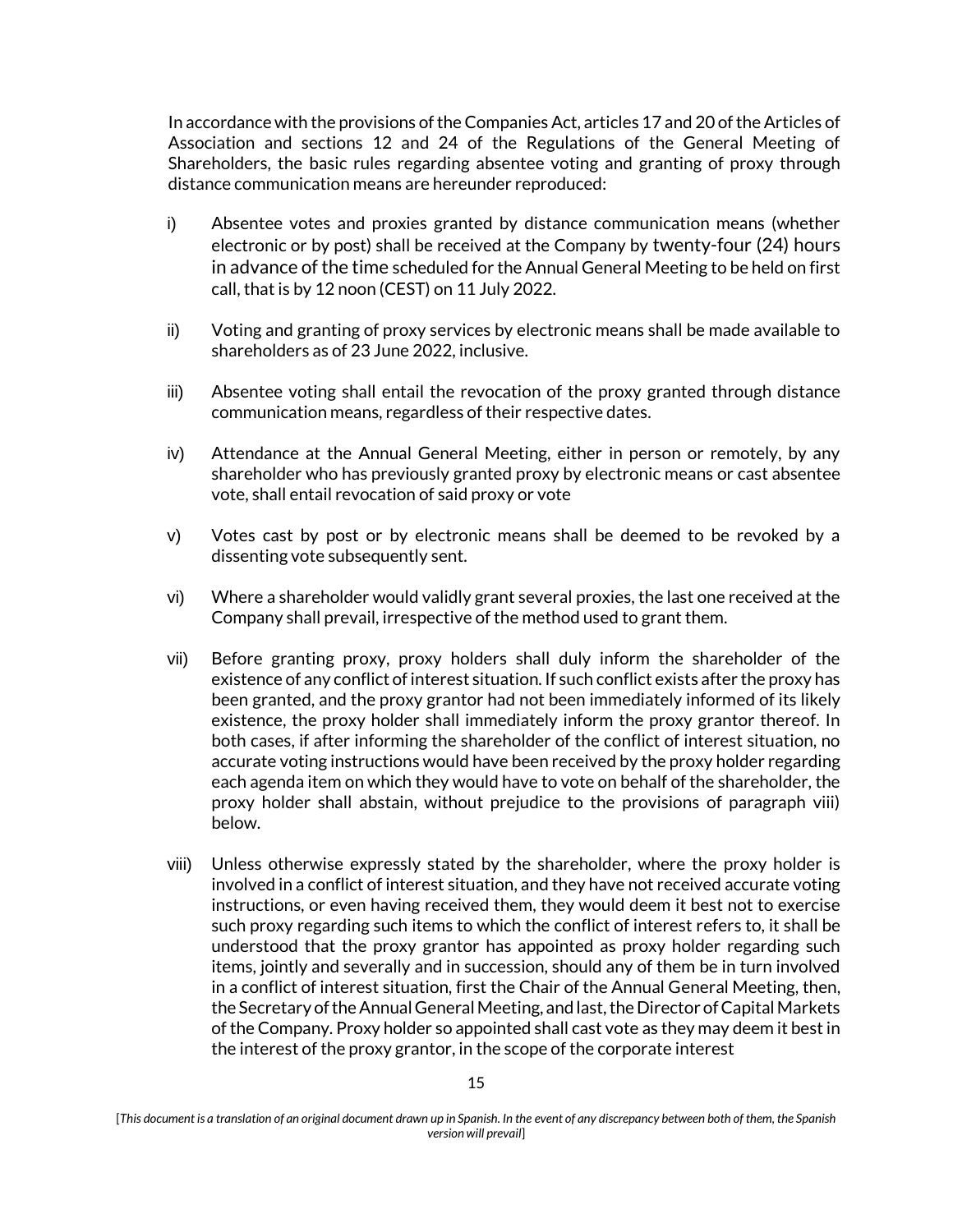In accordance with the provisions of the Companies Act, articles 17 and 20 of the Articles of Association and sections 12 and 24 of the Regulations of the General Meeting of Shareholders, the basic rules regarding absentee voting and granting of proxy through distance communication means are hereunder reproduced:

- i) Absentee votes and proxies granted by distance communication means (whether electronic or by post) shall be received at the Company by twenty-four (24) hours in advance of the time scheduled for the Annual General Meeting to be held on first call, that is by 12 noon (CEST) on 11 July 2022.
- ii) Voting and granting of proxy services by electronic means shall be made available to shareholders as of 23 June 2022, inclusive.
- iii) Absentee voting shall entail the revocation of the proxy granted through distance communication means, regardless of their respective dates.
- iv) Attendance at the Annual General Meeting, either in person or remotely, by any shareholder who has previously granted proxy by electronic means or cast absentee vote, shall entail revocation of said proxy or vote
- v) Votes cast by post or by electronic means shall be deemed to be revoked by a dissenting vote subsequently sent.
- vi) Where a shareholder would validly grant several proxies, the last one received at the Company shall prevail, irrespective of the method used to grant them.
- vii) Before granting proxy, proxy holders shall duly inform the shareholder of the existence of any conflict of interest situation. If such conflict exists after the proxy has been granted, and the proxy grantor had not been immediately informed of its likely existence, the proxy holder shall immediately inform the proxy grantor thereof. In both cases, if after informing the shareholder of the conflict of interest situation, no accurate voting instructions would have been received by the proxy holder regarding each agenda item on which they would have to vote on behalf of the shareholder, the proxy holder shall abstain, without prejudice to the provisions of paragraph viii) below.
- viii) Unless otherwise expressly stated by the shareholder, where the proxy holder is involved in a conflict of interest situation, and they have not received accurate voting instructions, or even having received them, they would deem it best not to exercise such proxy regarding such items to which the conflict of interest refers to, it shall be understood that the proxy grantor has appointed as proxy holder regarding such items, jointly and severally and in succession, should any of them be in turn involved in a conflict of interest situation, first the Chair of the Annual General Meeting, then, the Secretary of the Annual General Meeting, and last, the Director of Capital Markets of the Company. Proxy holder so appointed shall cast vote as they may deem it best in the interest of the proxy grantor, in the scope of the corporate interest

<sup>[</sup>*This document is a translation of an original document drawn up in Spanish. In the event of any discrepancy between both of them, the Spanish version will prevail*]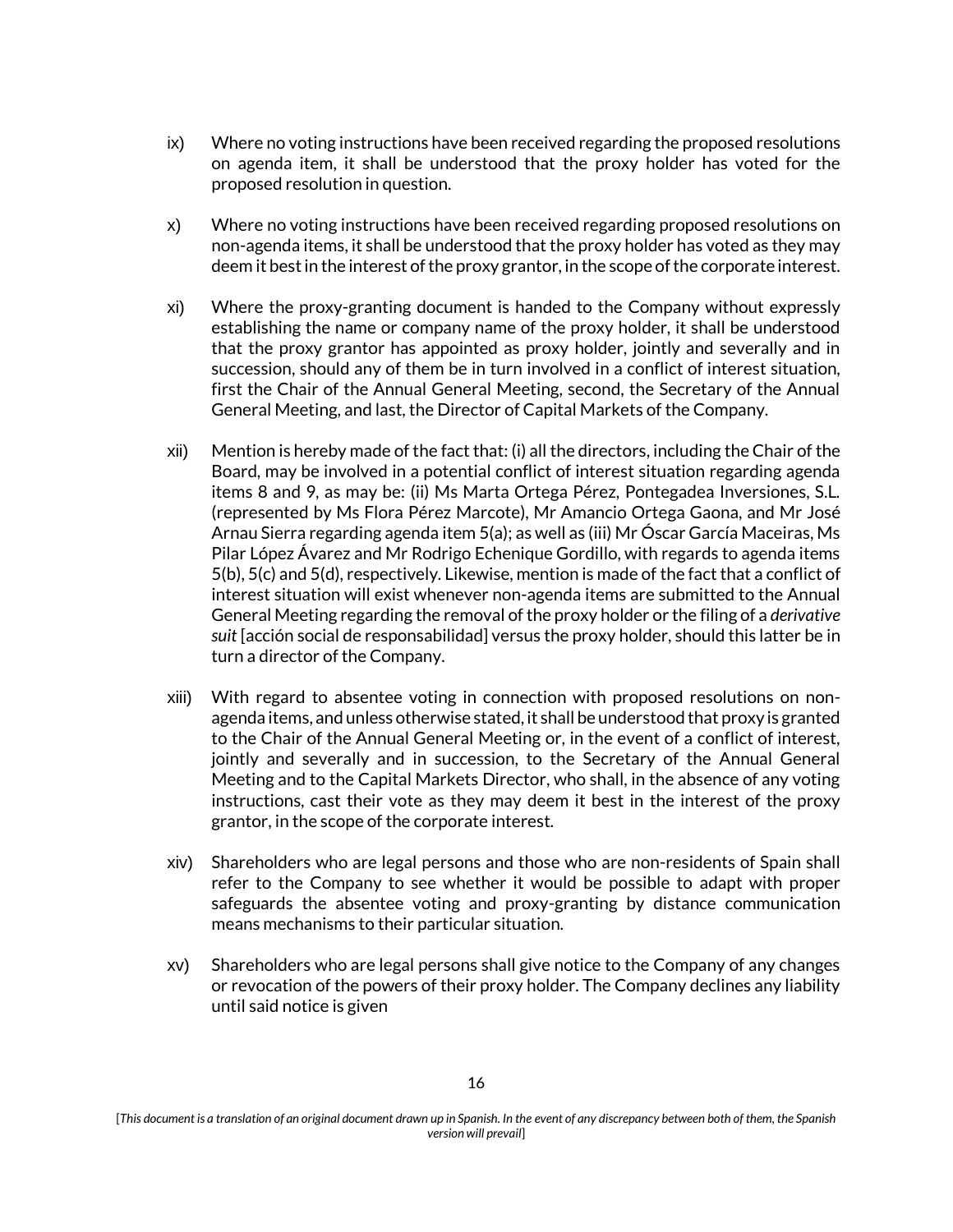- ix) Where no voting instructions have been received regarding the proposed resolutions on agenda item, it shall be understood that the proxy holder has voted for the proposed resolution in question.
- x) Where no voting instructions have been received regarding proposed resolutions on non-agenda items, it shall be understood that the proxy holder has voted as they may deem it best in the interest of the proxy grantor, in the scope of the corporate interest.
- xi) Where the proxy-granting document is handed to the Company without expressly establishing the name or company name of the proxy holder, it shall be understood that the proxy grantor has appointed as proxy holder, jointly and severally and in succession, should any of them be in turn involved in a conflict of interest situation, first the Chair of the Annual General Meeting, second, the Secretary of the Annual General Meeting, and last, the Director of Capital Markets of the Company.
- xii) Mention is hereby made of the fact that: (i) all the directors, including the Chair of the Board, may be involved in a potential conflict of interest situation regarding agenda items 8 and 9, as may be: (ii) Ms Marta Ortega Pérez, Pontegadea Inversiones, S.L. (represented by Ms Flora Pérez Marcote), Mr Amancio Ortega Gaona, and Mr José Arnau Sierra regarding agenda item 5(a); as well as (iii) Mr Óscar García Maceiras, Ms Pilar López Ávarez and Mr Rodrigo Echenique Gordillo, with regards to agenda items 5(b), 5(c) and 5(d), respectively. Likewise, mention is made of the fact that a conflict of interest situation will exist whenever non-agenda items are submitted to the Annual General Meeting regarding the removal of the proxy holder or the filing of a *derivative suit* [acción social de responsabilidad] versus the proxy holder, should this latter be in turn a director of the Company.
- xiii) With regard to absentee voting in connection with proposed resolutions on nonagenda items, and unless otherwise stated, it shall be understood that proxy is granted to the Chair of the Annual General Meeting or, in the event of a conflict of interest, jointly and severally and in succession, to the Secretary of the Annual General Meeting and to the Capital Markets Director, who shall, in the absence of any voting instructions, cast their vote as they may deem it best in the interest of the proxy grantor, in the scope of the corporate interest.
- xiv) Shareholders who are legal persons and those who are non-residents of Spain shall refer to the Company to see whether it would be possible to adapt with proper safeguards the absentee voting and proxy-granting by distance communication means mechanisms to their particular situation.
- xv) Shareholders who are legal persons shall give notice to the Company of any changes or revocation of the powers of their proxy holder. The Company declines any liability until said notice is given

<sup>[</sup>*This document is a translation of an original document drawn up in Spanish. In the event of any discrepancy between both of them, the Spanish version will prevail*]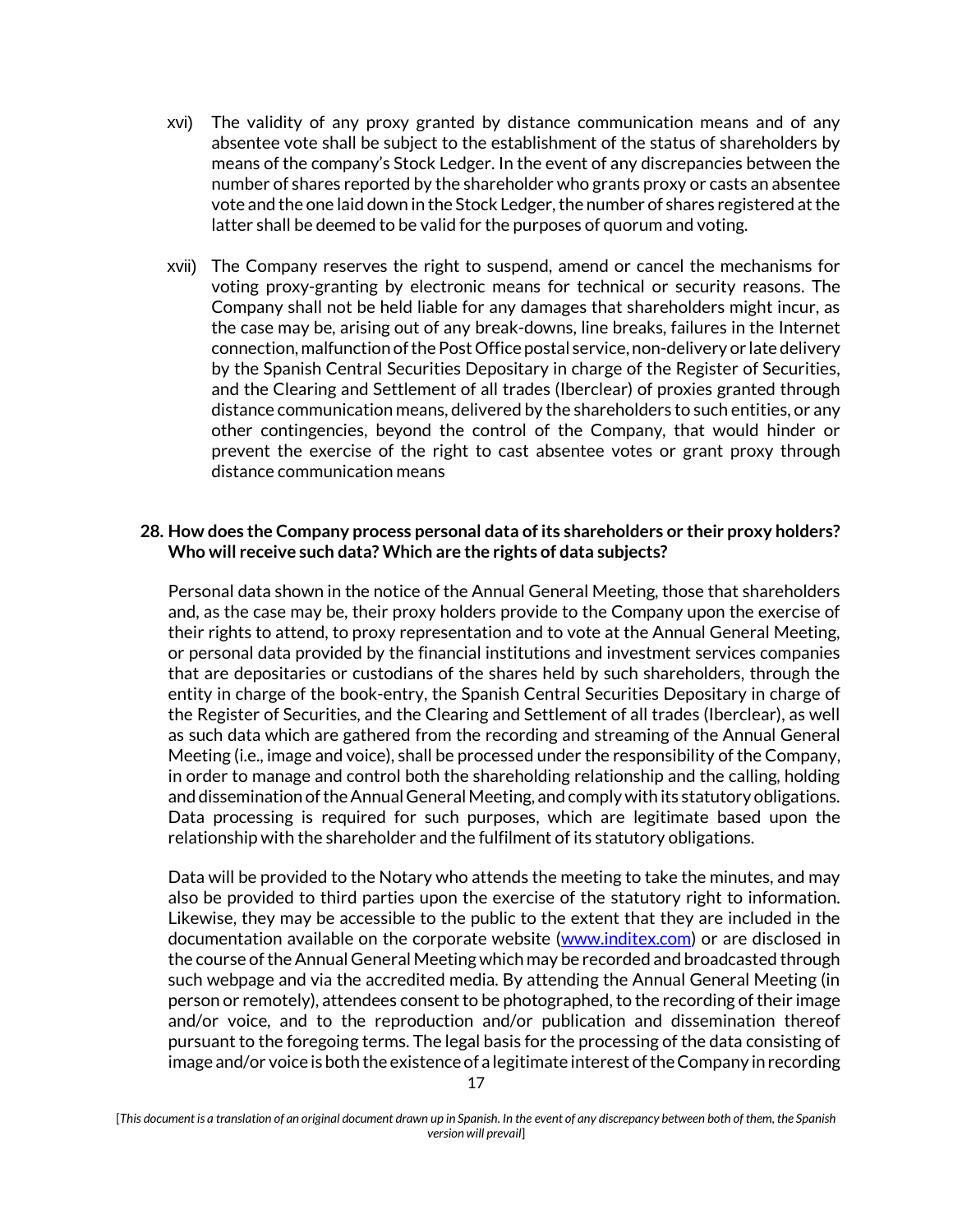- xvi) The validity of any proxy granted by distance communication means and of any absentee vote shall be subject to the establishment of the status of shareholders by means of the company's Stock Ledger. In the event of any discrepancies between the number of shares reported by the shareholder who grants proxy or casts an absentee vote and the one laid down in the Stock Ledger, the number of shares registered at the latter shall be deemed to be valid for the purposes of quorum and voting.
- xvii) The Company reserves the right to suspend, amend or cancel the mechanisms for voting proxy-granting by electronic means for technical or security reasons. The Company shall not be held liable for any damages that shareholders might incur, as the case may be, arising out of any break-downs, line breaks, failures in the Internet connection, malfunction of the Post Office postal service, non-delivery or late delivery by the Spanish Central Securities Depositary in charge of the Register of Securities, and the Clearing and Settlement of all trades (Iberclear) of proxies granted through distance communication means, delivered by the shareholders to such entities, or any other contingencies, beyond the control of the Company, that would hinder or prevent the exercise of the right to cast absentee votes or grant proxy through distance communication means

### **28. How does the Company process personal data of its shareholders or their proxy holders? Who will receive such data? Which are the rights of data subjects?**

Personal data shown in the notice of the Annual General Meeting, those that shareholders and, as the case may be, their proxy holders provide to the Company upon the exercise of their rights to attend, to proxy representation and to vote at the Annual General Meeting, or personal data provided by the financial institutions and investment services companies that are depositaries or custodians of the shares held by such shareholders, through the entity in charge of the book-entry, the Spanish Central Securities Depositary in charge of the Register of Securities, and the Clearing and Settlement of all trades (Iberclear), as well as such data which are gathered from the recording and streaming of the Annual General Meeting (i.e., image and voice), shall be processed under the responsibility of the Company, in order to manage and control both the shareholding relationship and the calling, holding and dissemination of the Annual General Meeting, and comply with its statutory obligations. Data processing is required for such purposes, which are legitimate based upon the relationship with the shareholder and the fulfilment of its statutory obligations.

Data will be provided to the Notary who attends the meeting to take the minutes, and may also be provided to third parties upon the exercise of the statutory right to information. Likewise, they may be accessible to the public to the extent that they are included in the documentation available on the corporate website [\(www.inditex.com\)](http://www.inditex.com/) or are disclosed in the course of the Annual General Meeting which may be recorded and broadcasted through such webpage and via the accredited media. By attending the Annual General Meeting (in person or remotely), attendees consent to be photographed, to the recording of their image and/or voice, and to the reproduction and/or publication and dissemination thereof pursuant to the foregoing terms. The legal basis for the processing of the data consisting of image and/or voice is both the existence of a legitimate interest of the Company in recording

<sup>[</sup>*This document is a translation of an original document drawn up in Spanish. In the event of any discrepancy between both of them, the Spanish version will prevail*]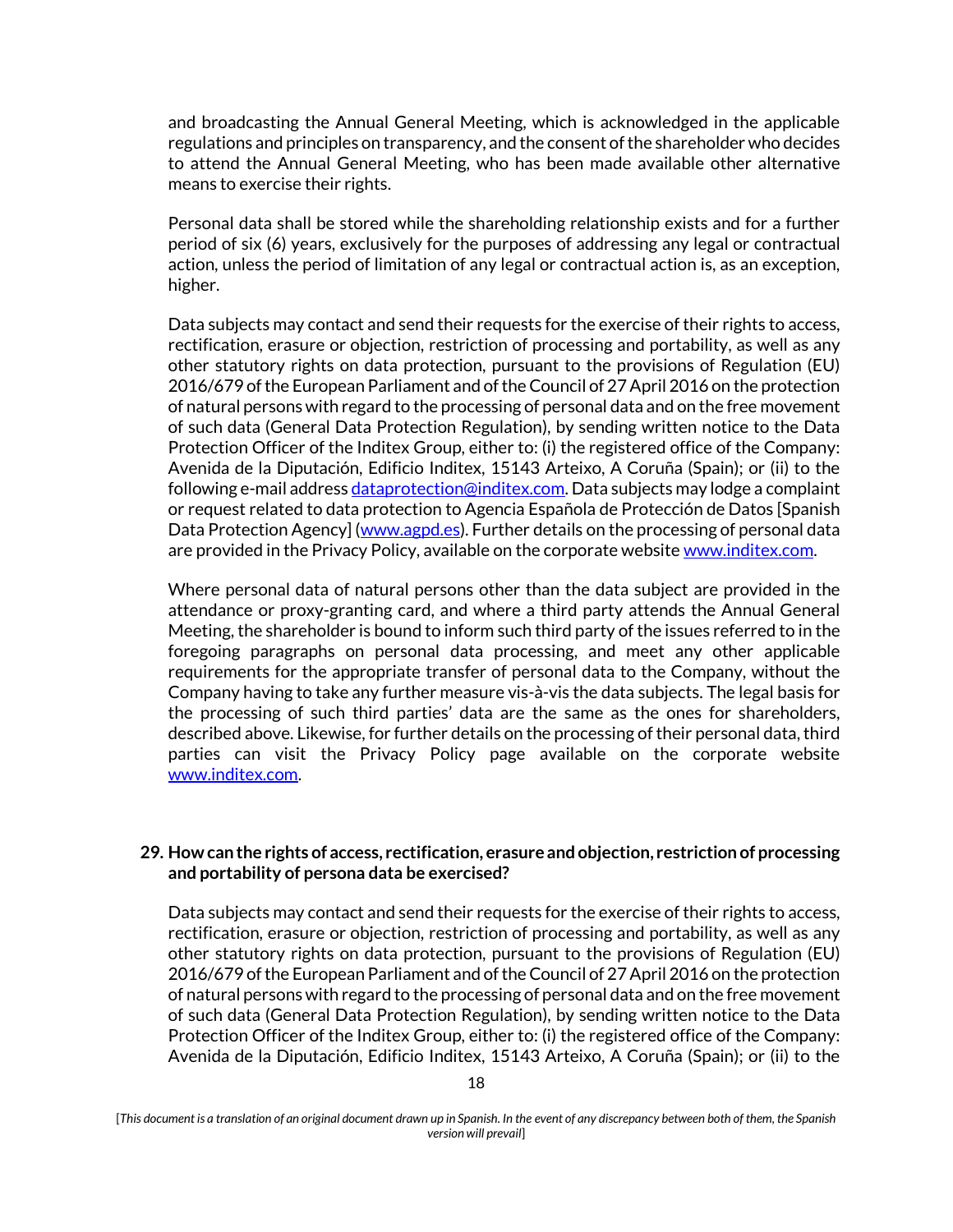and broadcasting the Annual General Meeting, which is acknowledged in the applicable regulations and principles on transparency, and the consent of the shareholder who decides to attend the Annual General Meeting, who has been made available other alternative means to exercise their rights.

Personal data shall be stored while the shareholding relationship exists and for a further period of six (6) years, exclusively for the purposes of addressing any legal or contractual action, unless the period of limitation of any legal or contractual action is, as an exception, higher.

Data subjects may contact and send their requests for the exercise of their rights to access, rectification, erasure or objection, restriction of processing and portability, as well as any other statutory rights on data protection, pursuant to the provisions of Regulation (EU) 2016/679 of the European Parliament and of the Council of 27 April 2016 on the protection of natural persons with regard to the processing of personal data and on the free movement of such data (General Data Protection Regulation), by sending written notice to the Data Protection Officer of the Inditex Group, either to: (i) the registered office of the Company: Avenida de la Diputación, Edificio Inditex, 15143 Arteixo, A Coruña (Spain); or (ii) to the following e-mail address [dataprotection@inditex.com.](mailto:dataprotection@inditex.com) Data subjects may lodge a complaint or request related to data protection to Agencia Española de Protección de Datos [Spanish Data Protection Agency] [\(www.agpd.es\)](http://www.agpd.es/). Further details on the processing of personal data are provided in the Privacy Policy, available on the corporate websit[e www.inditex.com.](http://www.inditex.com/)

Where personal data of natural persons other than the data subject are provided in the attendance or proxy-granting card, and where a third party attends the Annual General Meeting, the shareholder is bound to inform such third party of the issues referred to in the foregoing paragraphs on personal data processing, and meet any other applicable requirements for the appropriate transfer of personal data to the Company, without the Company having to take any further measure vis-à-vis the data subjects. The legal basis for the processing of such third parties' data are the same as the ones for shareholders, described above. Likewise, for further details on the processing of their personal data, third parties can visit the Privacy Policy page available on the corporate website [www.inditex.com.](http://www.inditex.com/) 

### **29. How can the rights of access, rectification, erasure and objection, restriction of processing and portability of persona data be exercised?**

Data subjects may contact and send their requests for the exercise of their rights to access, rectification, erasure or objection, restriction of processing and portability, as well as any other statutory rights on data protection, pursuant to the provisions of Regulation (EU) 2016/679 of the European Parliament and of the Council of 27 April 2016 on the protection of natural persons with regard to the processing of personal data and on the free movement of such data (General Data Protection Regulation), by sending written notice to the Data Protection Officer of the Inditex Group, either to: (i) the registered office of the Company: Avenida de la Diputación, Edificio Inditex, 15143 Arteixo, A Coruña (Spain); or (ii) to the

<sup>[</sup>*This document is a translation of an original document drawn up in Spanish. In the event of any discrepancy between both of them, the Spanish version will prevail*]